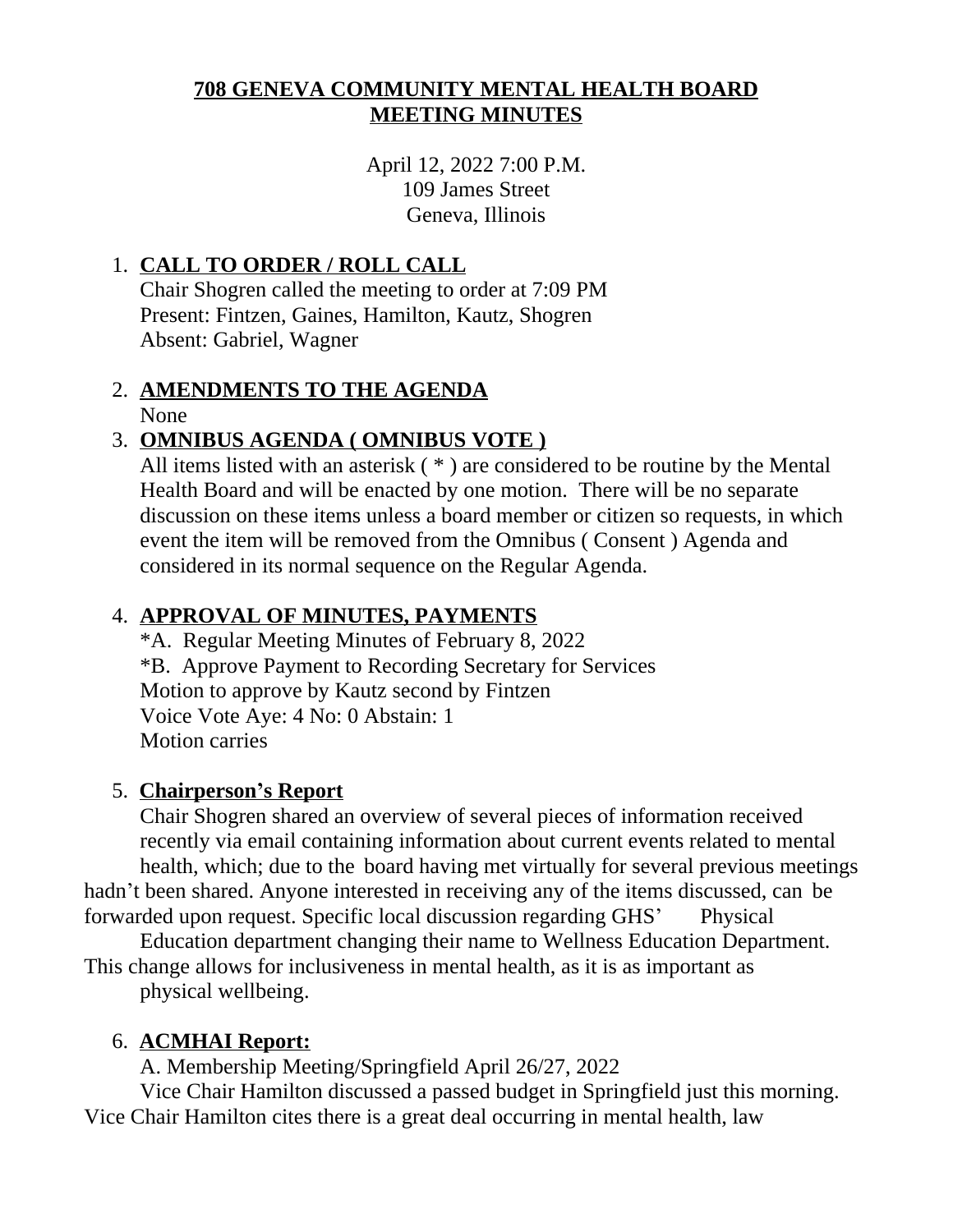## **708 GENEVA COMMUNITY MENTAL HEALTH BOARD MEETING MINUTES**

April 12, 2022 7:00 P.M. 109 James Street Geneva, Illinois

## 1. **CALL TO ORDER / ROLL CALL**

Chair Shogren called the meeting to order at 7:09 PM Present: Fintzen, Gaines, Hamilton, Kautz, Shogren Absent: Gabriel, Wagner

# 2. **AMENDMENTS TO THE AGENDA**

None

## 3. **OMNIBUS AGENDA ( OMNIBUS VOTE )**

All items listed with an asterisk ( \* ) are considered to be routine by the Mental Health Board and will be enacted by one motion. There will be no separate discussion on these items unless a board member or citizen so requests, in which event the item will be removed from the Omnibus ( Consent ) Agenda and considered in its normal sequence on the Regular Agenda.

## 4. **APPROVAL OF MINUTES, PAYMENTS**

\*A. Regular Meeting Minutes of February 8, 2022 \*B. Approve Payment to Recording Secretary for Services Motion to approve by Kautz second by Fintzen Voice Vote Aye: 4 No: 0 Abstain: 1 Motion carries

## 5. **Chairperson's Report**

Chair Shogren shared an overview of several pieces of information received recently via email containing information about current events related to mental health, which; due to the board having met virtually for several previous meetings hadn't been shared. Anyone interested in receiving any of the items discussed, can be forwarded upon request. Specific local discussion regarding GHS' Physical

Education department changing their name to Wellness Education Department. This change allows for inclusiveness in mental health, as it is as important as

physical wellbeing.

## 6. **ACMHAI Report:**

A. Membership Meeting/Springfield April 26/27, 2022

Vice Chair Hamilton discussed a passed budget in Springfield just this morning. Vice Chair Hamilton cites there is a great deal occurring in mental health, law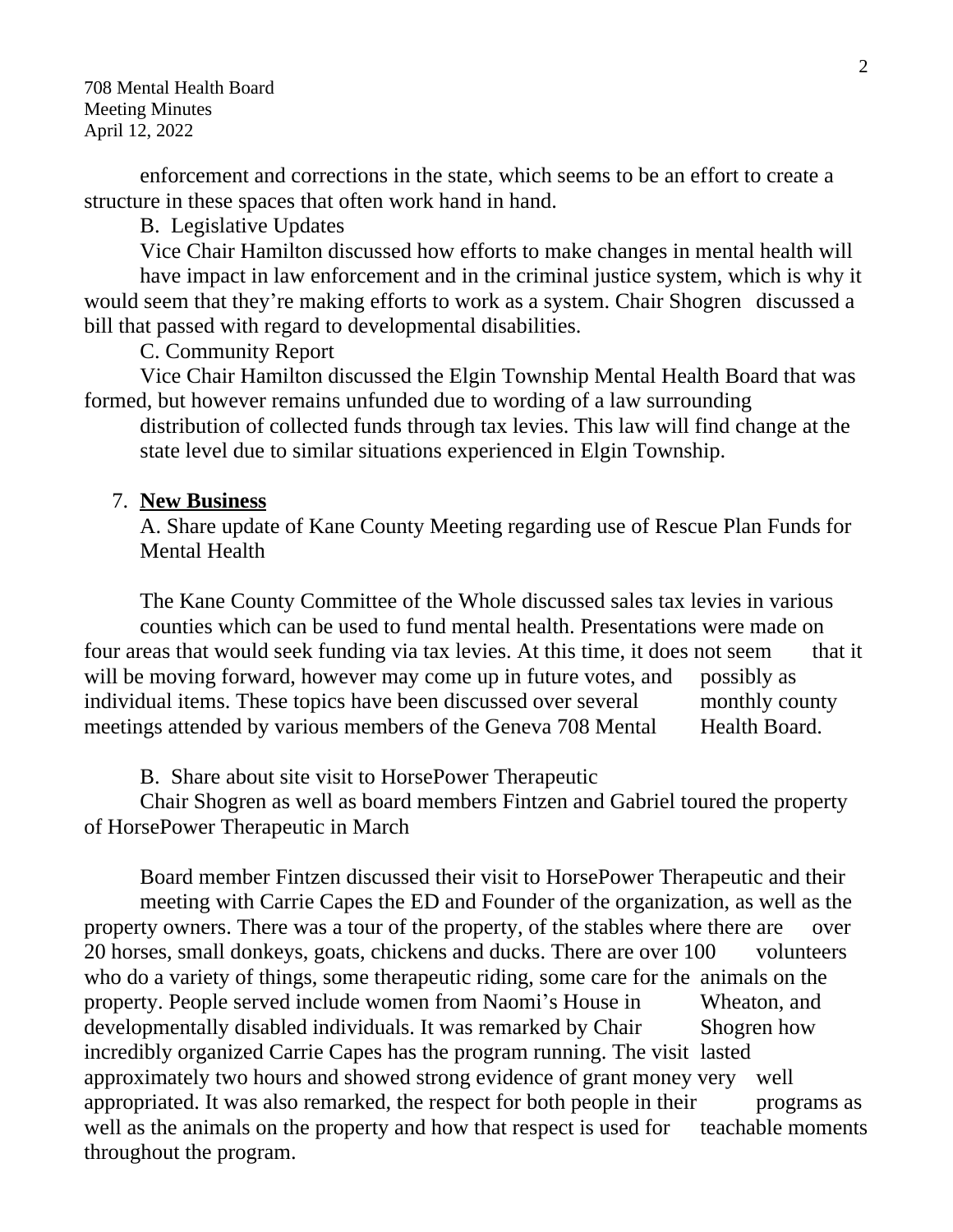708 Mental Health Board Meeting Minutes April 12, 2022

enforcement and corrections in the state, which seems to be an effort to create a structure in these spaces that often work hand in hand.

B. Legislative Updates

Vice Chair Hamilton discussed how efforts to make changes in mental health will have impact in law enforcement and in the criminal justice system, which is why it would seem that they're making efforts to work as a system. Chair Shogren discussed a bill that passed with regard to developmental disabilities.

C. Community Report

Vice Chair Hamilton discussed the Elgin Township Mental Health Board that was formed, but however remains unfunded due to wording of a law surrounding

distribution of collected funds through tax levies. This law will find change at the state level due to similar situations experienced in Elgin Township.

#### 7. **New Business**

A. Share update of Kane County Meeting regarding use of Rescue Plan Funds for Mental Health

The Kane County Committee of the Whole discussed sales tax levies in various counties which can be used to fund mental health. Presentations were made on four areas that would seek funding via tax levies. At this time, it does not seem that it will be moving forward, however may come up in future votes, and possibly as individual items. These topics have been discussed over several monthly county meetings attended by various members of the Geneva 708 Mental Health Board.

B. Share about site visit to HorsePower Therapeutic

Chair Shogren as well as board members Fintzen and Gabriel toured the property of HorsePower Therapeutic in March

Board member Fintzen discussed their visit to HorsePower Therapeutic and their meeting with Carrie Capes the ED and Founder of the organization, as well as the property owners. There was a tour of the property, of the stables where there are over 20 horses, small donkeys, goats, chickens and ducks. There are over 100 volunteers who do a variety of things, some therapeutic riding, some care for the animals on the property. People served include women from Naomi's House in Wheaton, and developmentally disabled individuals. It was remarked by Chair Shogren how incredibly organized Carrie Capes has the program running. The visit lasted approximately two hours and showed strong evidence of grant money very well appropriated. It was also remarked, the respect for both people in their programs as well as the animals on the property and how that respect is used for teachable moments throughout the program.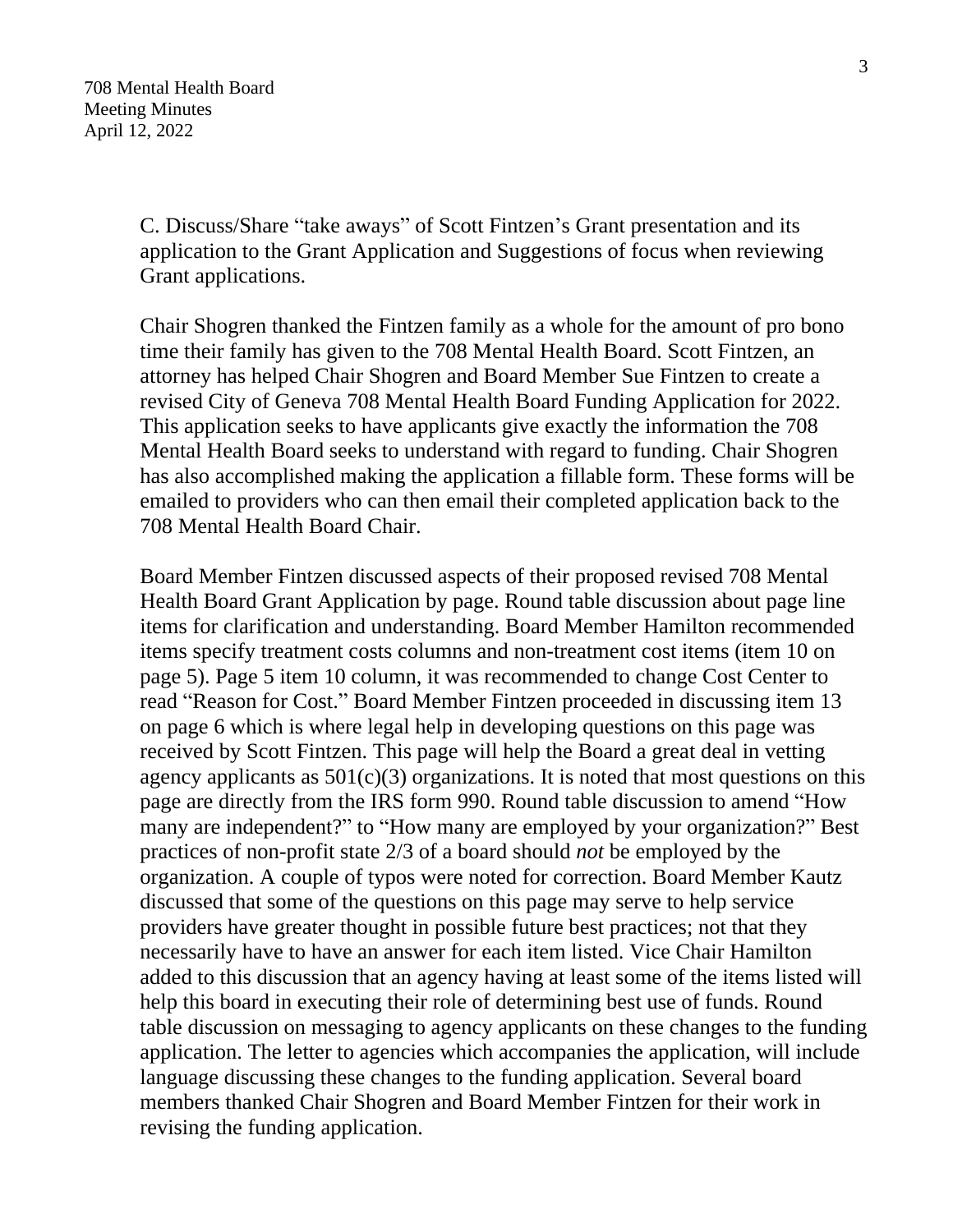C. Discuss/Share "take aways" of Scott Fintzen's Grant presentation and its application to the Grant Application and Suggestions of focus when reviewing Grant applications.

Chair Shogren thanked the Fintzen family as a whole for the amount of pro bono time their family has given to the 708 Mental Health Board. Scott Fintzen, an attorney has helped Chair Shogren and Board Member Sue Fintzen to create a revised City of Geneva 708 Mental Health Board Funding Application for 2022. This application seeks to have applicants give exactly the information the 708 Mental Health Board seeks to understand with regard to funding. Chair Shogren has also accomplished making the application a fillable form. These forms will be emailed to providers who can then email their completed application back to the 708 Mental Health Board Chair.

Board Member Fintzen discussed aspects of their proposed revised 708 Mental Health Board Grant Application by page. Round table discussion about page line items for clarification and understanding. Board Member Hamilton recommended items specify treatment costs columns and non-treatment cost items (item 10 on page 5). Page 5 item 10 column, it was recommended to change Cost Center to read "Reason for Cost." Board Member Fintzen proceeded in discussing item 13 on page 6 which is where legal help in developing questions on this page was received by Scott Fintzen. This page will help the Board a great deal in vetting agency applicants as  $501(c)(3)$  organizations. It is noted that most questions on this page are directly from the IRS form 990. Round table discussion to amend "How many are independent?" to "How many are employed by your organization?" Best practices of non-profit state 2/3 of a board should *not* be employed by the organization. A couple of typos were noted for correction. Board Member Kautz discussed that some of the questions on this page may serve to help service providers have greater thought in possible future best practices; not that they necessarily have to have an answer for each item listed. Vice Chair Hamilton added to this discussion that an agency having at least some of the items listed will help this board in executing their role of determining best use of funds. Round table discussion on messaging to agency applicants on these changes to the funding application. The letter to agencies which accompanies the application, will include language discussing these changes to the funding application. Several board members thanked Chair Shogren and Board Member Fintzen for their work in revising the funding application.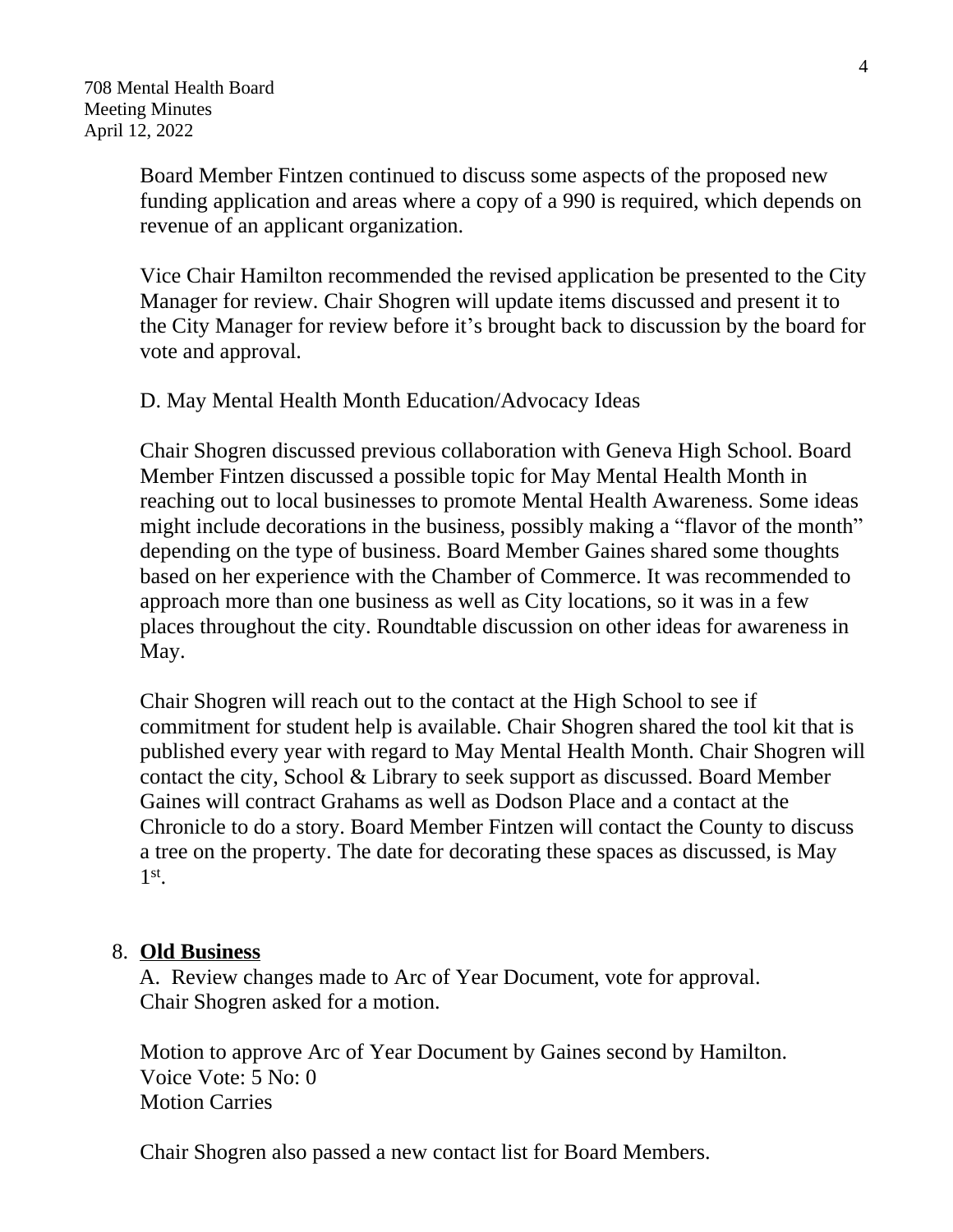Board Member Fintzen continued to discuss some aspects of the proposed new funding application and areas where a copy of a 990 is required, which depends on revenue of an applicant organization.

Vice Chair Hamilton recommended the revised application be presented to the City Manager for review. Chair Shogren will update items discussed and present it to the City Manager for review before it's brought back to discussion by the board for vote and approval.

### D. May Mental Health Month Education/Advocacy Ideas

Chair Shogren discussed previous collaboration with Geneva High School. Board Member Fintzen discussed a possible topic for May Mental Health Month in reaching out to local businesses to promote Mental Health Awareness. Some ideas might include decorations in the business, possibly making a "flavor of the month" depending on the type of business. Board Member Gaines shared some thoughts based on her experience with the Chamber of Commerce. It was recommended to approach more than one business as well as City locations, so it was in a few places throughout the city. Roundtable discussion on other ideas for awareness in May.

Chair Shogren will reach out to the contact at the High School to see if commitment for student help is available. Chair Shogren shared the tool kit that is published every year with regard to May Mental Health Month. Chair Shogren will contact the city, School & Library to seek support as discussed. Board Member Gaines will contract Grahams as well as Dodson Place and a contact at the Chronicle to do a story. Board Member Fintzen will contact the County to discuss a tree on the property. The date for decorating these spaces as discussed, is May 1 st .

### 8. **Old Business**

 A. Review changes made to Arc of Year Document, vote for approval. Chair Shogren asked for a motion.

Motion to approve Arc of Year Document by Gaines second by Hamilton. Voice Vote: 5 No: 0 Motion Carries

Chair Shogren also passed a new contact list for Board Members.